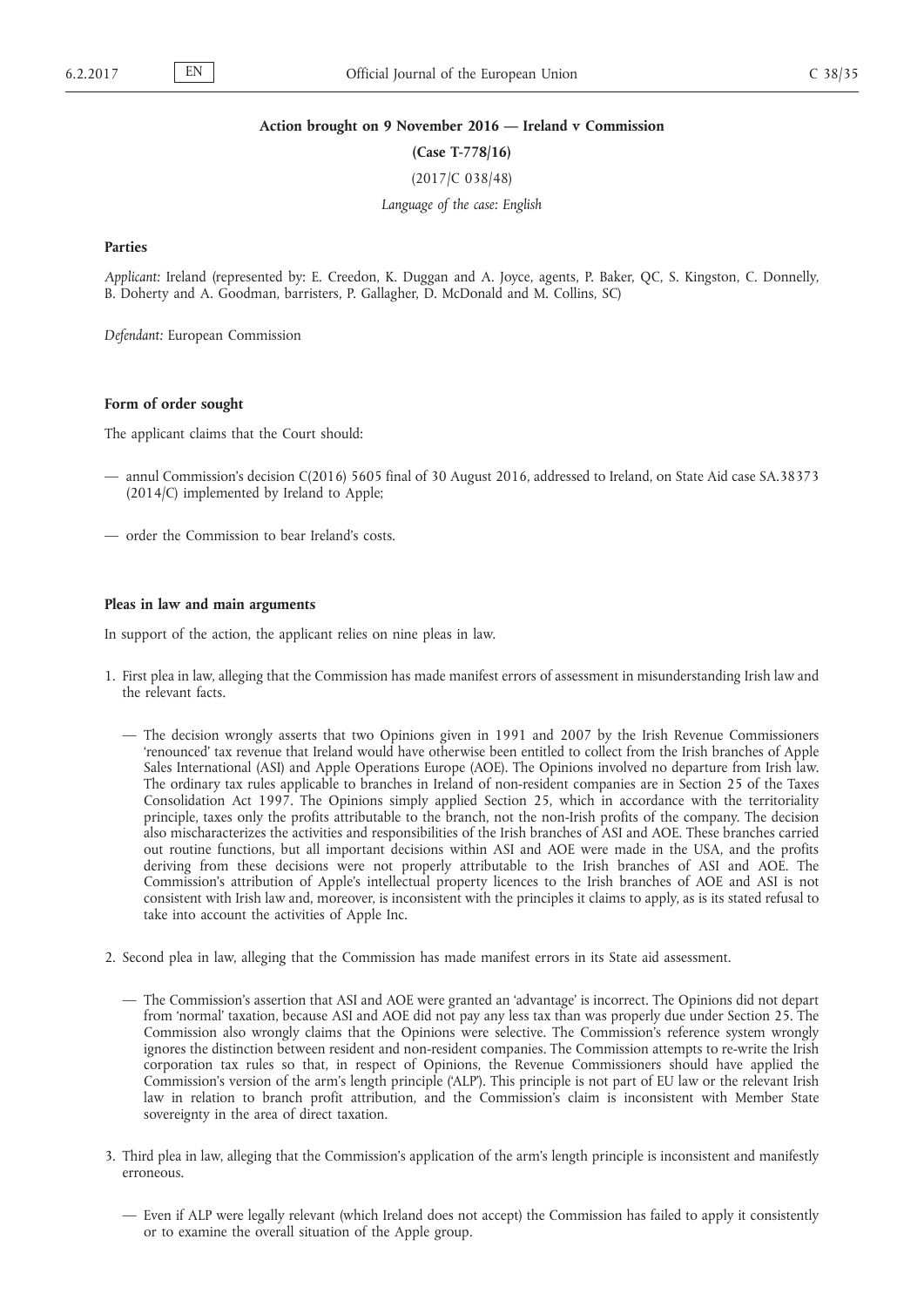#### **Action brought on 9 November 2016 — Ireland v Commission**

**(Case T-778/16)**

(2017/C 038/48)

*Language of the case: English*

### **Parties**

*Applicant:* Ireland (represented by: E. Creedon, K. Duggan and A. Joyce, agents, P. Baker, QC, S. Kingston, C. Donnelly, B. Doherty and A. Goodman, barristers, P. Gallagher, D. McDonald and M. Collins, SC)

*Defendant:* European Commission

## **Form of order sought**

The applicant claims that the Court should:

- annul Commission's decision C(2016) 5605 final of 30 August 2016, addressed to Ireland, on State Aid case SA.38373 (2014/C) implemented by Ireland to Apple;
- order the Commission to bear Ireland's costs.

#### **Pleas in law and main arguments**

In support of the action, the applicant relies on nine pleas in law.

- 1. First plea in law, alleging that the Commission has made manifest errors of assessment in misunderstanding Irish law and the relevant facts.
	- The decision wrongly asserts that two Opinions given in 1991 and 2007 by the Irish Revenue Commissioners 'renounced' tax revenue that Ireland would have otherwise been entitled to collect from the Irish branches of Apple Sales International (ASI) and Apple Operations Europe (AOE). The Opinions involved no departure from Irish law. The ordinary tax rules applicable to branches in Ireland of non-resident companies are in Section 25 of the Taxes Consolidation Act 1997. The Opinions simply applied Section 25, which in accordance with the territoriality principle, taxes only the profits attributable to the branch, not the non-Irish profits of the company. The decision also mischaracterizes the activities and responsibilities of the Irish branches of ASI and AOE. These branches carried out routine functions, but all important decisions within ASI and AOE were made in the USA, and the profits deriving from these decisions were not properly attributable to the Irish branches of ASI and AOE. The Commission's attribution of Apple's intellectual property licences to the Irish branches of AOE and ASI is not consistent with Irish law and, moreover, is inconsistent with the principles it claims to apply, as is its stated refusal to take into account the activities of Apple Inc.
- 2. Second plea in law, alleging that the Commission has made manifest errors in its State aid assessment.
	- The Commission's assertion that ASI and AOE were granted an 'advantage' is incorrect. The Opinions did not depart from 'normal' taxation, because ASI and AOE did not pay any less tax than was properly due under Section 25. The Commission also wrongly claims that the Opinions were selective. The Commission's reference system wrongly ignores the distinction between resident and non-resident companies. The Commission attempts to re-write the Irish corporation tax rules so that, in respect of Opinions, the Revenue Commissioners should have applied the Commission's version of the arm's length principle ('ALP'). This principle is not part of EU law or the relevant Irish law in relation to branch profit attribution, and the Commission's claim is inconsistent with Member State sovereignty in the area of direct taxation.
- 3. Third plea in law, alleging that the Commission's application of the arm's length principle is inconsistent and manifestly erroneous.
	- Even if ALP were legally relevant (which Ireland does not accept) the Commission has failed to apply it consistently or to examine the overall situation of the Apple group.